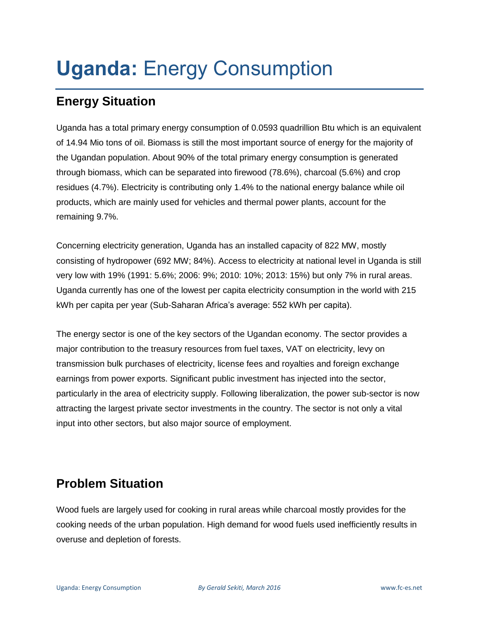# **Uganda:** Energy Consumption

# **Energy Situation**

Uganda has a total primary energy consumption of 0.0593 quadrillion Btu which is an equivalent of 14.94 Mio tons of oil. Biomass is still the most important source of energy for the majority of the Ugandan population. About 90% of the total primary energy consumption is generated through biomass, which can be separated into firewood (78.6%), charcoal (5.6%) and crop residues (4.7%). Electricity is contributing only 1.4% to the national energy balance while oil products, which are mainly used for vehicles and thermal power plants, account for the remaining 9.7%.

Concerning electricity generation, Uganda has an installed capacity of 822 MW, mostly consisting of hydropower (692 MW; 84%). Access to electricity at national level in Uganda is still very low with 19% (1991: 5.6%; 2006: 9%; 2010: 10%; 2013: 15%) but only 7% in rural areas. Uganda currently has one of the lowest per capita electricity consumption in the world with 215 kWh per capita per year (Sub-Saharan Africa's average: 552 kWh per capita).

The energy sector is one of the key sectors of the Ugandan economy. The sector provides a major contribution to the treasury resources from fuel taxes, VAT on electricity, levy on transmission bulk purchases of electricity, license fees and royalties and foreign exchange earnings from power exports. Significant public investment has injected into the sector, particularly in the area of electricity supply. Following liberalization, the power sub-sector is now attracting the largest private sector investments in the country. The sector is not only a vital input into other sectors, but also major source of employment.

# **Problem Situation**

Wood fuels are largely used for cooking in rural areas while charcoal mostly provides for the cooking needs of the urban population. High demand for wood fuels used inefficiently results in overuse and depletion of forests.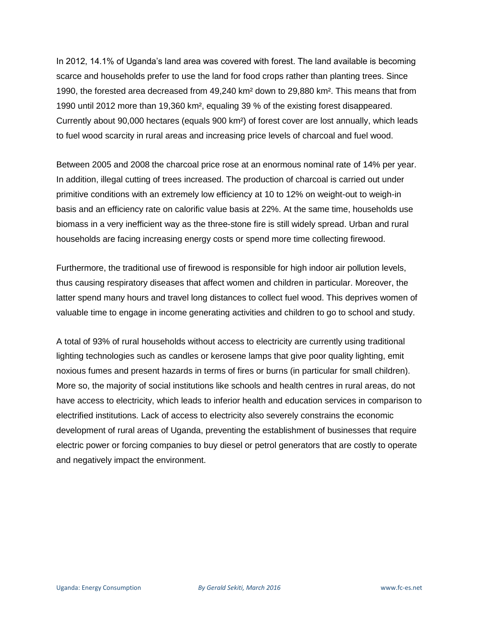In 2012, 14.1% of Uganda's land area was covered with forest. The land available is becoming scarce and households prefer to use the land for food crops rather than planting trees. Since 1990, the forested area decreased from 49,240 km² down to 29,880 km². This means that from 1990 until 2012 more than 19,360 km², equaling 39 % of the existing forest disappeared. Currently about 90,000 hectares (equals 900 km²) of forest cover are lost annually, which leads to fuel wood scarcity in rural areas and increasing price levels of charcoal and fuel wood.

Between 2005 and 2008 the charcoal price rose at an enormous nominal rate of 14% per year. In addition, illegal cutting of trees increased. The production of charcoal is carried out under primitive conditions with an extremely low efficiency at 10 to 12% on weight-out to weigh-in basis and an efficiency rate on calorific value basis at 22%. At the same time, households use biomass in a very inefficient way as the three-stone fire is still widely spread. Urban and rural households are facing increasing energy costs or spend more time collecting firewood.

Furthermore, the traditional use of firewood is responsible for high indoor air pollution levels, thus causing respiratory diseases that affect women and children in particular. Moreover, the latter spend many hours and travel long distances to collect fuel wood. This deprives women of valuable time to engage in income generating activities and children to go to school and study.

A total of 93% of rural households without access to electricity are currently using traditional lighting technologies such as candles or kerosene lamps that give poor quality lighting, emit noxious fumes and present hazards in terms of fires or burns (in particular for small children). More so, the majority of social institutions like schools and health centres in rural areas, do not have access to electricity, which leads to inferior health and education services in comparison to electrified institutions. Lack of access to electricity also severely constrains the economic development of rural areas of Uganda, preventing the establishment of businesses that require electric power or forcing companies to buy diesel or petrol generators that are costly to operate and negatively impact the environment.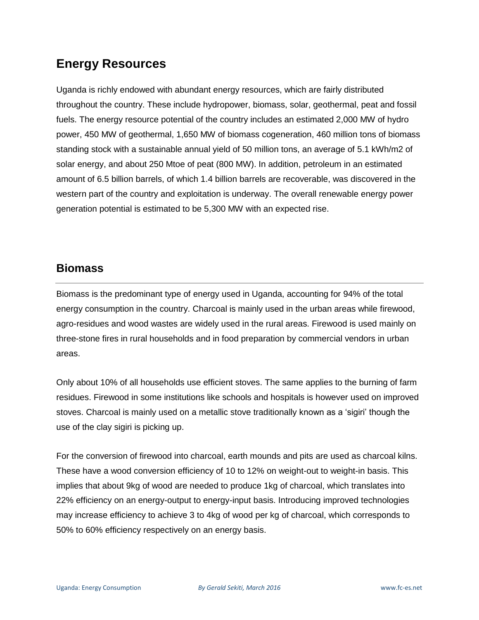# **Energy Resources**

Uganda is richly endowed with abundant energy resources, which are fairly distributed throughout the country. These include hydropower, biomass, solar, geothermal, peat and fossil fuels. The energy resource potential of the country includes an estimated 2,000 MW of hydro power, 450 MW of geothermal, 1,650 MW of biomass cogeneration, 460 million tons of biomass standing stock with a sustainable annual yield of 50 million tons, an average of 5.1 kWh/m2 of solar energy, and about 250 Mtoe of peat (800 MW). In addition, petroleum in an estimated amount of 6.5 billion barrels, of which 1.4 billion barrels are recoverable, was discovered in the western part of the country and exploitation is underway. The overall renewable energy power generation potential is estimated to be 5,300 MW with an expected rise.

#### **Biomass**

Biomass is the predominant type of energy used in Uganda, accounting for 94% of the total energy consumption in the country. Charcoal is mainly used in the urban areas while firewood, agro-residues and wood wastes are widely used in the rural areas. Firewood is used mainly on three-stone fires in rural households and in food preparation by commercial vendors in urban areas.

Only about 10% of all households use efficient stoves. The same applies to the burning of farm residues. Firewood in some institutions like schools and hospitals is however used on improved stoves. Charcoal is mainly used on a metallic stove traditionally known as a 'sigiri' though the use of the clay sigiri is picking up.

For the conversion of firewood into charcoal, earth mounds and pits are used as charcoal kilns. These have a wood conversion efficiency of 10 to 12% on weight-out to weight-in basis. This implies that about 9kg of wood are needed to produce 1kg of charcoal, which translates into 22% efficiency on an energy-output to energy-input basis. Introducing improved technologies may increase efficiency to achieve 3 to 4kg of wood per kg of charcoal, which corresponds to 50% to 60% efficiency respectively on an energy basis.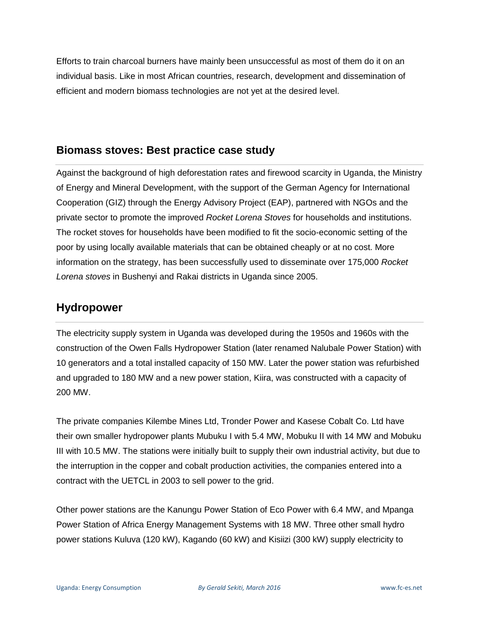Efforts to train charcoal burners have mainly been unsuccessful as most of them do it on an individual basis. Like in most African countries, research, development and dissemination of efficient and modern biomass technologies are not yet at the desired level.

#### **Biomass stoves: Best practice case study**

Against the background of high deforestation rates and firewood scarcity in Uganda, the Ministry of Energy and Mineral Development, with the support of the German Agency for International Cooperation (GIZ) through the Energy Advisory Project (EAP), partnered with NGOs and the private sector to promote the improved *Rocket Lorena Stoves* for households and institutions. The rocket stoves for households have been modified to fit the socio-economic setting of the poor by using locally available materials that can be obtained cheaply or at no cost. More information on the strategy, has been successfully used to disseminate over 175,000 *Rocket Lorena stoves* in Bushenyi and Rakai districts in Uganda since 2005.

#### **Hydropower**

The electricity supply system in Uganda was developed during the 1950s and 1960s with the construction of the Owen Falls Hydropower Station (later renamed Nalubale Power Station) with 10 generators and a total installed capacity of 150 MW. Later the power station was refurbished and upgraded to 180 MW and a new power station, Kiira, was constructed with a capacity of 200 MW.

The private companies Kilembe Mines Ltd, Tronder Power and Kasese Cobalt Co. Ltd have their own smaller hydropower plants Mubuku I with 5.4 MW, Mobuku II with 14 MW and Mobuku III with 10.5 MW. The stations were initially built to supply their own industrial activity, but due to the interruption in the copper and cobalt production activities, the companies entered into a contract with the UETCL in 2003 to sell power to the grid.

Other power stations are the Kanungu Power Station of Eco Power with 6.4 MW, and Mpanga Power Station of Africa Energy Management Systems with 18 MW. Three other small hydro power stations Kuluva (120 kW), Kagando (60 kW) and Kisiizi (300 kW) supply electricity to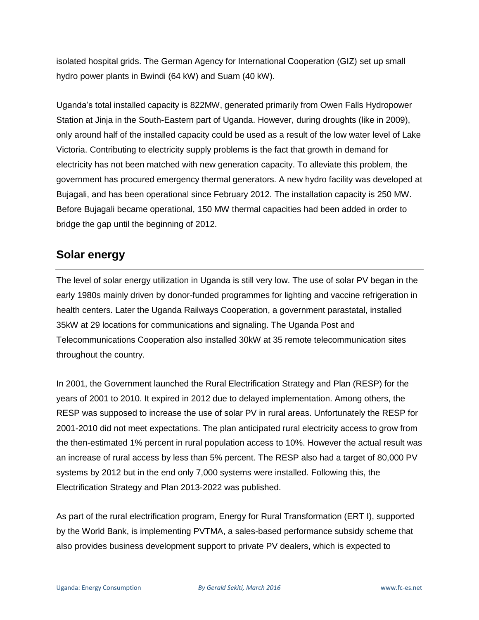isolated hospital grids. The German Agency for International Cooperation (GIZ) set up small hydro power plants in Bwindi (64 kW) and Suam (40 kW).

Uganda's total installed capacity is 822MW, generated primarily from Owen Falls Hydropower Station at Jinja in the South-Eastern part of Uganda. However, during droughts (like in 2009), only around half of the installed capacity could be used as a result of the low water level of Lake Victoria. Contributing to electricity supply problems is the fact that growth in demand for electricity has not been matched with new generation capacity. To alleviate this problem, the government has procured emergency thermal generators. A new hydro facility was developed at Bujagali, and has been operational since February 2012. The installation capacity is 250 MW. Before Bujagali became operational, 150 MW thermal capacities had been added in order to bridge the gap until the beginning of 2012.

## **Solar energy**

The level of solar energy utilization in Uganda is still very low. The use of solar PV began in the early 1980s mainly driven by donor-funded programmes for lighting and vaccine refrigeration in health centers. Later the Uganda Railways Cooperation, a government parastatal, installed 35kW at 29 locations for communications and signaling. The Uganda Post and Telecommunications Cooperation also installed 30kW at 35 remote telecommunication sites throughout the country.

In 2001, the Government launched the Rural Electrification Strategy and Plan (RESP) for the years of 2001 to 2010. It expired in 2012 due to delayed implementation. Among others, the RESP was supposed to increase the use of solar PV in rural areas. Unfortunately the RESP for 2001-2010 did not meet expectations. The plan anticipated rural electricity access to grow from the then-estimated 1% percent in rural population access to 10%. However the actual result was an increase of rural access by less than 5% percent. The RESP also had a target of 80,000 PV systems by 2012 but in the end only 7,000 systems were installed. Following this, the Electrification Strategy and Plan 2013-2022 was published.

As part of the rural electrification program, Energy for Rural Transformation (ERT I), supported by the World Bank, is implementing PVTMA, a sales-based performance subsidy scheme that also provides business development support to private PV dealers, which is expected to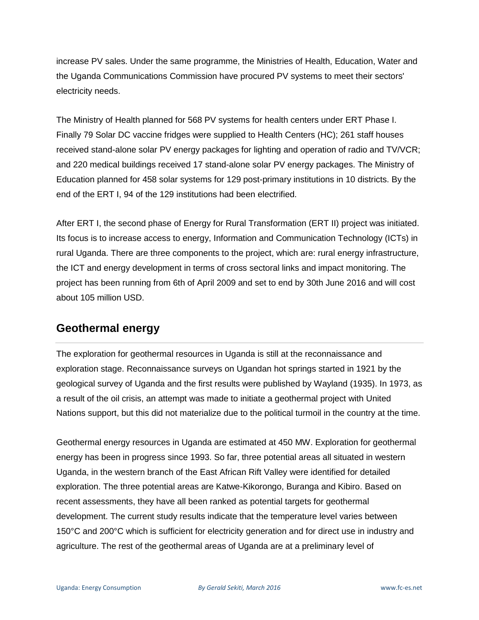increase PV sales. Under the same programme, the Ministries of Health, Education, Water and the Uganda Communications Commission have procured PV systems to meet their sectors' electricity needs.

The Ministry of Health planned for 568 PV systems for health centers under ERT Phase I. Finally 79 Solar DC vaccine fridges were supplied to Health Centers (HC); 261 staff houses received stand-alone solar PV energy packages for lighting and operation of radio and TV/VCR; and 220 medical buildings received 17 stand-alone solar PV energy packages. The Ministry of Education planned for 458 solar systems for 129 post-primary institutions in 10 districts. By the end of the ERT I, 94 of the 129 institutions had been electrified.

After ERT I, the second phase of Energy for Rural Transformation (ERT II) project was initiated. Its focus is to increase access to energy, Information and Communication Technology (ICTs) in rural Uganda. There are three components to the project, which are: rural energy infrastructure, the ICT and energy development in terms of cross sectoral links and impact monitoring. The project has been running from 6th of April 2009 and set to end by 30th June 2016 and will cost about 105 million USD.

#### **Geothermal energy**

The exploration for geothermal resources in Uganda is still at the reconnaissance and exploration stage. Reconnaissance surveys on Ugandan hot springs started in 1921 by the geological survey of Uganda and the first results were published by Wayland (1935). In 1973, as a result of the oil crisis, an attempt was made to initiate a geothermal project with United Nations support, but this did not materialize due to the political turmoil in the country at the time.

Geothermal energy resources in Uganda are estimated at 450 MW. Exploration for geothermal energy has been in progress since 1993. So far, three potential areas all situated in western Uganda, in the western branch of the East African Rift Valley were identified for detailed exploration. The three potential areas are Katwe-Kikorongo, Buranga and Kibiro. Based on recent assessments, they have all been ranked as potential targets for geothermal development. The current study results indicate that the temperature level varies between 150°C and 200°C which is sufficient for electricity generation and for direct use in industry and agriculture. The rest of the geothermal areas of Uganda are at a preliminary level of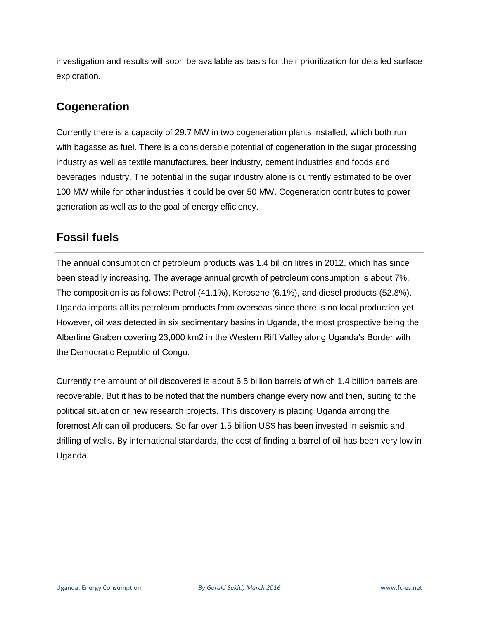investigation and results will soon be available as basis for their prioritization for detailed surface exploration.

## **Cogeneration**

Currently there is a capacity of 29.7 MW in two cogeneration plants installed, which both run with bagasse as fuel. There is a considerable potential of cogeneration in the sugar processing industry as well as textile manufactures, beer industry, cement industries and foods and beverages industry. The potential in the sugar industry alone is currently estimated to be over 100 MW while for other industries it could be over 50 MW. Cogeneration contributes to power generation as well as to the goal of energy efficiency.

## **Fossil fuels**

The annual consumption of petroleum products was 1.4 billion litres in 2012, which has since been steadily increasing. The average annual growth of petroleum consumption is about 7%. The composition is as follows: Petrol (41.1%), Kerosene (6.1%), and diesel products (52.8%). Uganda imports all its petroleum products from overseas since there is no local production yet. However, oil was detected in six sedimentary basins in Uganda, the most prospective being the Albertine Graben covering 23,000 km2 in the Western Rift Valley along Uganda's Border with the Democratic Republic of Congo.

Currently the amount of oil discovered is about 6.5 billion barrels of which 1.4 billion barrels are recoverable. But it has to be noted that the numbers change every now and then, suiting to the political situation or new research projects. This discovery is placing Uganda among the foremost African oil producers. So far over 1.5 billion US\$ has been invested in seismic and drilling of wells. By international standards, the cost of finding a barrel of oil has been very low in Uganda.